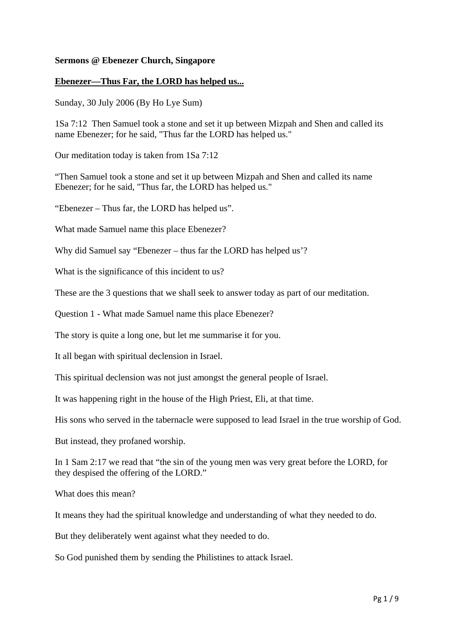## **Sermons @ Ebenezer Church, Singapore**

## **Ebenezer—Thus Far, the LORD has helped us...**

Sunday, 30 July 2006 (By Ho Lye Sum)

1Sa 7:12 Then Samuel took a stone and set it up between Mizpah and Shen and called its name Ebenezer; for he said, "Thus far the LORD has helped us."

Our meditation today is taken from 1Sa 7:12

"Then Samuel took a stone and set it up between Mizpah and Shen and called its name Ebenezer; for he said, "Thus far, the LORD has helped us."

"Ebenezer – Thus far, the LORD has helped us".

What made Samuel name this place Ebenezer?

Why did Samuel say "Ebenezer – thus far the LORD has helped us'?

What is the significance of this incident to us?

These are the 3 questions that we shall seek to answer today as part of our meditation.

Question 1 - What made Samuel name this place Ebenezer?

The story is quite a long one, but let me summarise it for you.

It all began with spiritual declension in Israel.

This spiritual declension was not just amongst the general people of Israel.

It was happening right in the house of the High Priest, Eli, at that time.

His sons who served in the tabernacle were supposed to lead Israel in the true worship of God.

But instead, they profaned worship.

In 1 Sam 2:17 we read that "the sin of the young men was very great before the LORD, for they despised the offering of the LORD."

What does this mean?

It means they had the spiritual knowledge and understanding of what they needed to do.

But they deliberately went against what they needed to do.

So God punished them by sending the Philistines to attack Israel.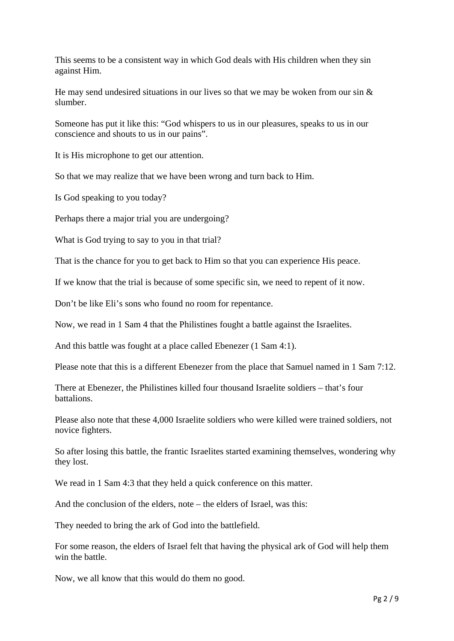This seems to be a consistent way in which God deals with His children when they sin against Him.

He may send undesired situations in our lives so that we may be woken from our sin  $\&$ slumber.

Someone has put it like this: "God whispers to us in our pleasures, speaks to us in our conscience and shouts to us in our pains".

It is His microphone to get our attention.

So that we may realize that we have been wrong and turn back to Him.

Is God speaking to you today?

Perhaps there a major trial you are undergoing?

What is God trying to say to you in that trial?

That is the chance for you to get back to Him so that you can experience His peace.

If we know that the trial is because of some specific sin, we need to repent of it now.

Don't be like Eli's sons who found no room for repentance.

Now, we read in 1 Sam 4 that the Philistines fought a battle against the Israelites.

And this battle was fought at a place called Ebenezer (1 Sam 4:1).

Please note that this is a different Ebenezer from the place that Samuel named in 1 Sam 7:12.

There at Ebenezer, the Philistines killed four thousand Israelite soldiers – that's four battalions.

Please also note that these 4,000 Israelite soldiers who were killed were trained soldiers, not novice fighters.

So after losing this battle, the frantic Israelites started examining themselves, wondering why they lost.

We read in 1 Sam 4:3 that they held a quick conference on this matter.

And the conclusion of the elders, note – the elders of Israel, was this:

They needed to bring the ark of God into the battlefield.

For some reason, the elders of Israel felt that having the physical ark of God will help them win the battle.

Now, we all know that this would do them no good.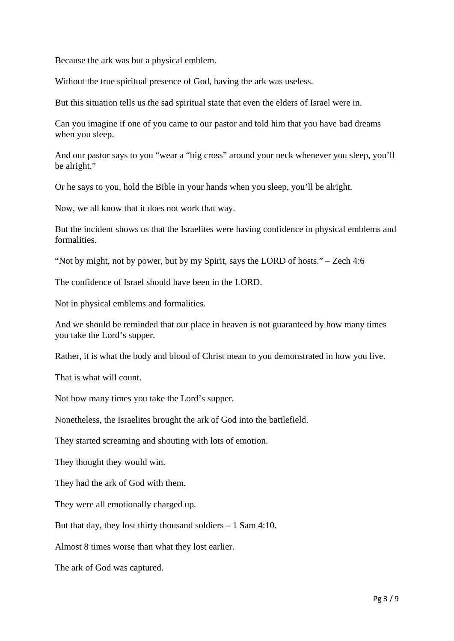Because the ark was but a physical emblem.

Without the true spiritual presence of God, having the ark was useless.

But this situation tells us the sad spiritual state that even the elders of Israel were in.

Can you imagine if one of you came to our pastor and told him that you have bad dreams when you sleep.

And our pastor says to you "wear a "big cross" around your neck whenever you sleep, you'll be alright."

Or he says to you, hold the Bible in your hands when you sleep, you'll be alright.

Now, we all know that it does not work that way.

But the incident shows us that the Israelites were having confidence in physical emblems and formalities.

"Not by might, not by power, but by my Spirit, says the LORD of hosts." – Zech 4:6

The confidence of Israel should have been in the LORD.

Not in physical emblems and formalities.

And we should be reminded that our place in heaven is not guaranteed by how many times you take the Lord's supper.

Rather, it is what the body and blood of Christ mean to you demonstrated in how you live.

That is what will count.

Not how many times you take the Lord's supper.

Nonetheless, the Israelites brought the ark of God into the battlefield.

They started screaming and shouting with lots of emotion.

They thought they would win.

They had the ark of God with them.

They were all emotionally charged up.

But that day, they lost thirty thousand soldiers  $-1$  Sam 4:10.

Almost 8 times worse than what they lost earlier.

The ark of God was captured.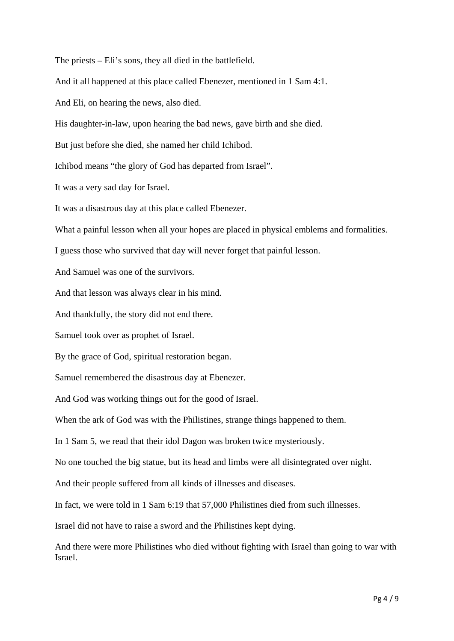The priests – Eli's sons, they all died in the battlefield.

And it all happened at this place called Ebenezer, mentioned in 1 Sam 4:1.

And Eli, on hearing the news, also died.

His daughter-in-law, upon hearing the bad news, gave birth and she died.

But just before she died, she named her child Ichibod.

Ichibod means "the glory of God has departed from Israel".

It was a very sad day for Israel.

It was a disastrous day at this place called Ebenezer.

What a painful lesson when all your hopes are placed in physical emblems and formalities.

I guess those who survived that day will never forget that painful lesson.

And Samuel was one of the survivors.

And that lesson was always clear in his mind.

And thankfully, the story did not end there.

Samuel took over as prophet of Israel.

By the grace of God, spiritual restoration began.

Samuel remembered the disastrous day at Ebenezer.

And God was working things out for the good of Israel.

When the ark of God was with the Philistines, strange things happened to them.

In 1 Sam 5, we read that their idol Dagon was broken twice mysteriously.

No one touched the big statue, but its head and limbs were all disintegrated over night.

And their people suffered from all kinds of illnesses and diseases.

In fact, we were told in 1 Sam 6:19 that 57,000 Philistines died from such illnesses.

Israel did not have to raise a sword and the Philistines kept dying.

And there were more Philistines who died without fighting with Israel than going to war with Israel.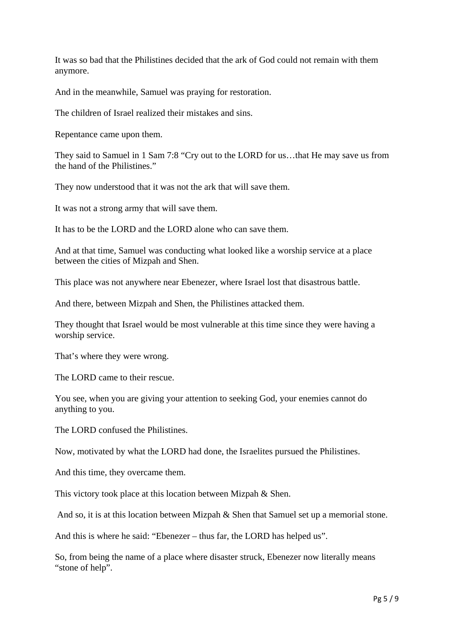It was so bad that the Philistines decided that the ark of God could not remain with them anymore.

And in the meanwhile, Samuel was praying for restoration.

The children of Israel realized their mistakes and sins.

Repentance came upon them.

They said to Samuel in 1 Sam 7:8 "Cry out to the LORD for us…that He may save us from the hand of the Philistines."

They now understood that it was not the ark that will save them.

It was not a strong army that will save them.

It has to be the LORD and the LORD alone who can save them.

And at that time, Samuel was conducting what looked like a worship service at a place between the cities of Mizpah and Shen.

This place was not anywhere near Ebenezer, where Israel lost that disastrous battle.

And there, between Mizpah and Shen, the Philistines attacked them.

They thought that Israel would be most vulnerable at this time since they were having a worship service.

That's where they were wrong.

The LORD came to their rescue.

You see, when you are giving your attention to seeking God, your enemies cannot do anything to you.

The LORD confused the Philistines.

Now, motivated by what the LORD had done, the Israelites pursued the Philistines.

And this time, they overcame them.

This victory took place at this location between Mizpah & Shen.

And so, it is at this location between Mizpah & Shen that Samuel set up a memorial stone.

And this is where he said: "Ebenezer – thus far, the LORD has helped us".

So, from being the name of a place where disaster struck, Ebenezer now literally means "stone of help".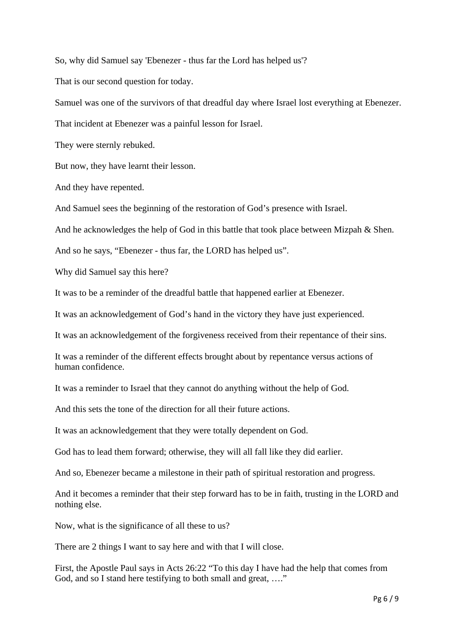So, why did Samuel say 'Ebenezer - thus far the Lord has helped us'?

That is our second question for today.

Samuel was one of the survivors of that dreadful day where Israel lost everything at Ebenezer.

That incident at Ebenezer was a painful lesson for Israel.

They were sternly rebuked.

But now, they have learnt their lesson.

And they have repented.

And Samuel sees the beginning of the restoration of God's presence with Israel.

And he acknowledges the help of God in this battle that took place between Mizpah & Shen.

And so he says, "Ebenezer - thus far, the LORD has helped us".

Why did Samuel say this here?

It was to be a reminder of the dreadful battle that happened earlier at Ebenezer.

It was an acknowledgement of God's hand in the victory they have just experienced.

It was an acknowledgement of the forgiveness received from their repentance of their sins.

It was a reminder of the different effects brought about by repentance versus actions of human confidence.

It was a reminder to Israel that they cannot do anything without the help of God.

And this sets the tone of the direction for all their future actions.

It was an acknowledgement that they were totally dependent on God.

God has to lead them forward; otherwise, they will all fall like they did earlier.

And so, Ebenezer became a milestone in their path of spiritual restoration and progress.

And it becomes a reminder that their step forward has to be in faith, trusting in the LORD and nothing else.

Now, what is the significance of all these to us?

There are 2 things I want to say here and with that I will close.

First, the Apostle Paul says in Acts 26:22 "To this day I have had the help that comes from God, and so I stand here testifying to both small and great, ...."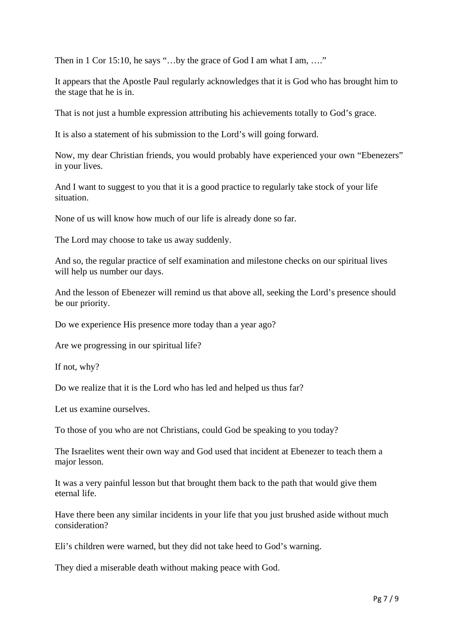Then in 1 Cor 15:10, he says "...by the grace of God I am what I am, ...."

It appears that the Apostle Paul regularly acknowledges that it is God who has brought him to the stage that he is in.

That is not just a humble expression attributing his achievements totally to God's grace.

It is also a statement of his submission to the Lord's will going forward.

Now, my dear Christian friends, you would probably have experienced your own "Ebenezers" in your lives.

And I want to suggest to you that it is a good practice to regularly take stock of your life situation.

None of us will know how much of our life is already done so far.

The Lord may choose to take us away suddenly.

And so, the regular practice of self examination and milestone checks on our spiritual lives will help us number our days.

And the lesson of Ebenezer will remind us that above all, seeking the Lord's presence should be our priority.

Do we experience His presence more today than a year ago?

Are we progressing in our spiritual life?

If not, why?

Do we realize that it is the Lord who has led and helped us thus far?

Let us examine ourselves.

To those of you who are not Christians, could God be speaking to you today?

The Israelites went their own way and God used that incident at Ebenezer to teach them a major lesson.

It was a very painful lesson but that brought them back to the path that would give them eternal life.

Have there been any similar incidents in your life that you just brushed aside without much consideration?

Eli's children were warned, but they did not take heed to God's warning.

They died a miserable death without making peace with God.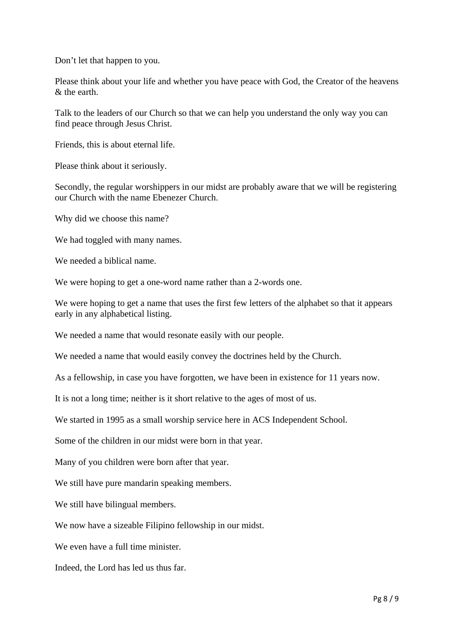Don't let that happen to you.

Please think about your life and whether you have peace with God, the Creator of the heavens & the earth.

Talk to the leaders of our Church so that we can help you understand the only way you can find peace through Jesus Christ.

Friends, this is about eternal life.

Please think about it seriously.

Secondly, the regular worshippers in our midst are probably aware that we will be registering our Church with the name Ebenezer Church.

Why did we choose this name?

We had toggled with many names.

We needed a biblical name.

We were hoping to get a one-word name rather than a 2-words one.

We were hoping to get a name that uses the first few letters of the alphabet so that it appears early in any alphabetical listing.

We needed a name that would resonate easily with our people.

We needed a name that would easily convey the doctrines held by the Church.

As a fellowship, in case you have forgotten, we have been in existence for 11 years now.

It is not a long time; neither is it short relative to the ages of most of us.

We started in 1995 as a small worship service here in ACS Independent School.

Some of the children in our midst were born in that year.

Many of you children were born after that year.

We still have pure mandarin speaking members.

We still have bilingual members.

We now have a sizeable Filipino fellowship in our midst.

We even have a full time minister.

Indeed, the Lord has led us thus far.